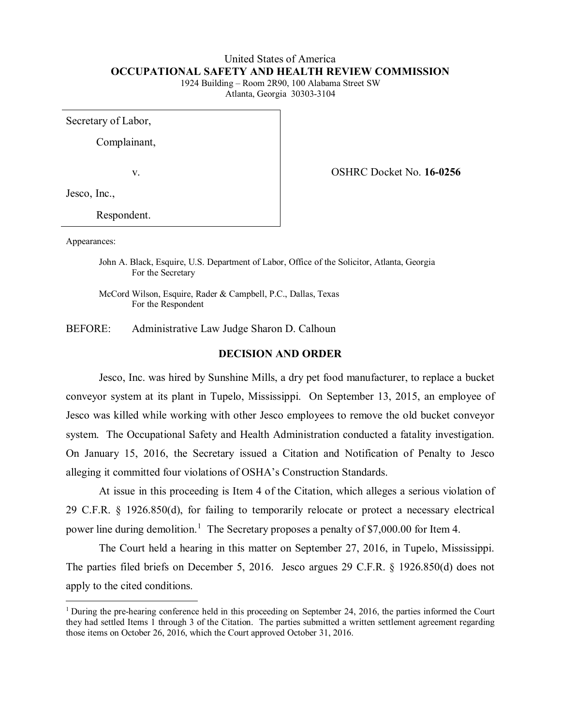# United States of America **OCCUPATIONAL SAFETY AND HEALTH REVIEW COMMISSION**

1924 Building – Room 2R90, 100 Alabama Street SW Atlanta, Georgia 30303-3104

Secretary of Labor,

Complainant,

v. OSHRC Docket No. **16-0256**

Jesco, Inc.,

Respondent.

Appearances:

 $\overline{a}$ 

John A. Black, Esquire, U.S. Department of Labor, Office of the Solicitor, Atlanta, Georgia For the Secretary

McCord Wilson, Esquire, Rader & Campbell, P.C., Dallas, Texas For the Respondent

BEFORE: Administrative Law Judge Sharon D. Calhoun

#### **DECISION AND ORDER**

Jesco, Inc. was hired by Sunshine Mills, a dry pet food manufacturer, to replace a bucket conveyor system at its plant in Tupelo, Mississippi. On September 13, 2015, an employee of Jesco was killed while working with other Jesco employees to remove the old bucket conveyor system. The Occupational Safety and Health Administration conducted a fatality investigation. On January 15, 2016, the Secretary issued a Citation and Notification of Penalty to Jesco alleging it committed four violations of OSHA's Construction Standards.

At issue in this proceeding is Item 4 of the Citation, which alleges a serious violation of 29 C.F.R. § 1926.850(d), for failing to temporarily relocate or protect a necessary electrical power line during demolition.<sup>[1](#page-0-0)</sup> The Secretary proposes a penalty of \$7,000.00 for Item 4.

The Court held a hearing in this matter on September 27, 2016, in Tupelo, Mississippi. The parties filed briefs on December 5, 2016. Jesco argues 29 C.F.R. § 1926.850(d) does not apply to the cited conditions.

<span id="page-0-0"></span><sup>&</sup>lt;sup>1</sup> During the pre-hearing conference held in this proceeding on September 24, 2016, the parties informed the Court they had settled Items 1 through 3 of the Citation. The parties submitted a written settlement agreement regarding those items on October 26, 2016, which the Court approved October 31, 2016.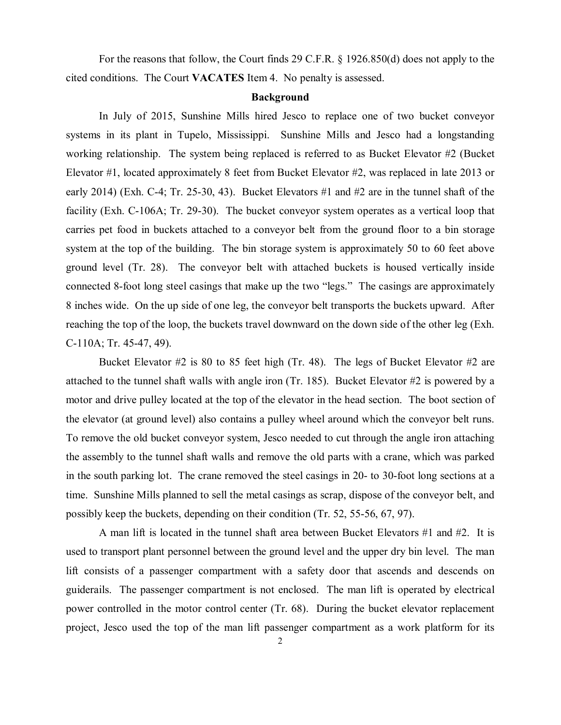For the reasons that follow, the Court finds 29 C.F.R. § 1926.850(d) does not apply to the cited conditions. The Court **VACATES** Item 4. No penalty is assessed.

#### **Background**

In July of 2015, Sunshine Mills hired Jesco to replace one of two bucket conveyor systems in its plant in Tupelo, Mississippi. Sunshine Mills and Jesco had a longstanding working relationship. The system being replaced is referred to as Bucket Elevator #2 (Bucket Elevator #1, located approximately 8 feet from Bucket Elevator #2, was replaced in late 2013 or early 2014) (Exh. C-4; Tr. 25-30, 43). Bucket Elevators #1 and #2 are in the tunnel shaft of the facility (Exh. C-106A; Tr. 29-30). The bucket conveyor system operates as a vertical loop that carries pet food in buckets attached to a conveyor belt from the ground floor to a bin storage system at the top of the building. The bin storage system is approximately 50 to 60 feet above ground level (Tr. 28). The conveyor belt with attached buckets is housed vertically inside connected 8-foot long steel casings that make up the two "legs." The casings are approximately 8 inches wide. On the up side of one leg, the conveyor belt transports the buckets upward. After reaching the top of the loop, the buckets travel downward on the down side of the other leg (Exh. C-110A; Tr. 45-47, 49).

Bucket Elevator #2 is 80 to 85 feet high (Tr. 48). The legs of Bucket Elevator #2 are attached to the tunnel shaft walls with angle iron (Tr. 185). Bucket Elevator #2 is powered by a motor and drive pulley located at the top of the elevator in the head section. The boot section of the elevator (at ground level) also contains a pulley wheel around which the conveyor belt runs. To remove the old bucket conveyor system, Jesco needed to cut through the angle iron attaching the assembly to the tunnel shaft walls and remove the old parts with a crane, which was parked in the south parking lot. The crane removed the steel casings in 20- to 30-foot long sections at a time. Sunshine Mills planned to sell the metal casings as scrap, dispose of the conveyor belt, and possibly keep the buckets, depending on their condition (Tr. 52, 55-56, 67, 97).

A man lift is located in the tunnel shaft area between Bucket Elevators #1 and #2. It is used to transport plant personnel between the ground level and the upper dry bin level. The man lift consists of a passenger compartment with a safety door that ascends and descends on guiderails. The passenger compartment is not enclosed. The man lift is operated by electrical power controlled in the motor control center (Tr. 68). During the bucket elevator replacement project, Jesco used the top of the man lift passenger compartment as a work platform for its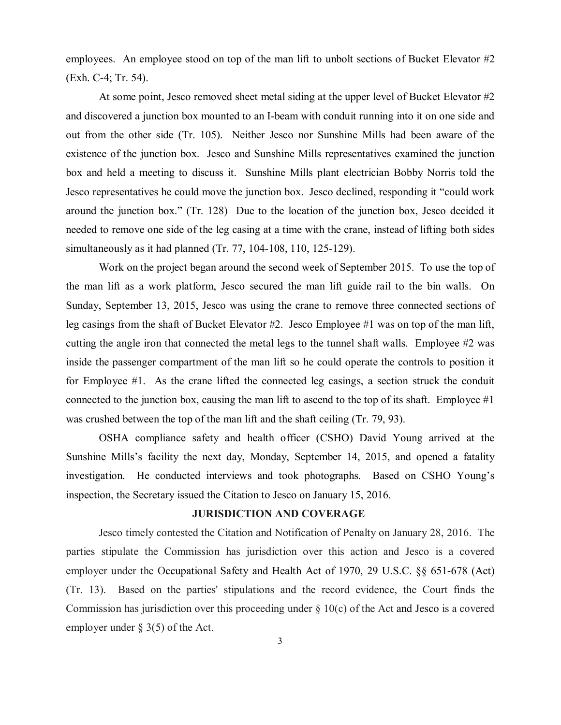employees. An employee stood on top of the man lift to unbolt sections of Bucket Elevator #2 (Exh. C-4; Tr. 54).

At some point, Jesco removed sheet metal siding at the upper level of Bucket Elevator #2 and discovered a junction box mounted to an I-beam with conduit running into it on one side and out from the other side (Tr. 105). Neither Jesco nor Sunshine Mills had been aware of the existence of the junction box. Jesco and Sunshine Mills representatives examined the junction box and held a meeting to discuss it. Sunshine Mills plant electrician Bobby Norris told the Jesco representatives he could move the junction box. Jesco declined, responding it "could work around the junction box." (Tr. 128) Due to the location of the junction box, Jesco decided it needed to remove one side of the leg casing at a time with the crane, instead of lifting both sides simultaneously as it had planned (Tr. 77, 104-108, 110, 125-129).

Work on the project began around the second week of September 2015. To use the top of the man lift as a work platform, Jesco secured the man lift guide rail to the bin walls. On Sunday, September 13, 2015, Jesco was using the crane to remove three connected sections of leg casings from the shaft of Bucket Elevator #2. Jesco Employee #1 was on top of the man lift, cutting the angle iron that connected the metal legs to the tunnel shaft walls. Employee #2 was inside the passenger compartment of the man lift so he could operate the controls to position it for Employee #1. As the crane lifted the connected leg casings, a section struck the conduit connected to the junction box, causing the man lift to ascend to the top of its shaft. Employee  $\#1$ was crushed between the top of the man lift and the shaft ceiling (Tr. 79, 93).

OSHA compliance safety and health officer (CSHO) David Young arrived at the Sunshine Mills's facility the next day, Monday, September 14, 2015, and opened a fatality investigation. He conducted interviews and took photographs. Based on CSHO Young's inspection, the Secretary issued the Citation to Jesco on January 15, 2016.

## **JURISDICTION AND COVERAGE**

Jesco timely contested the Citation and Notification of Penalty on January 28, 2016. The parties stipulate the Commission has jurisdiction over this action and Jesco is a covered employer under the Occupational Safety and Health Act of 1970, 29 U.S.C. §§ 651-678 (Act) (Tr. 13). Based on the parties' stipulations and the record evidence, the Court finds the Commission has jurisdiction over this proceeding under  $\S 10(c)$  of the Act and Jesco is a covered employer under § 3(5) of the Act.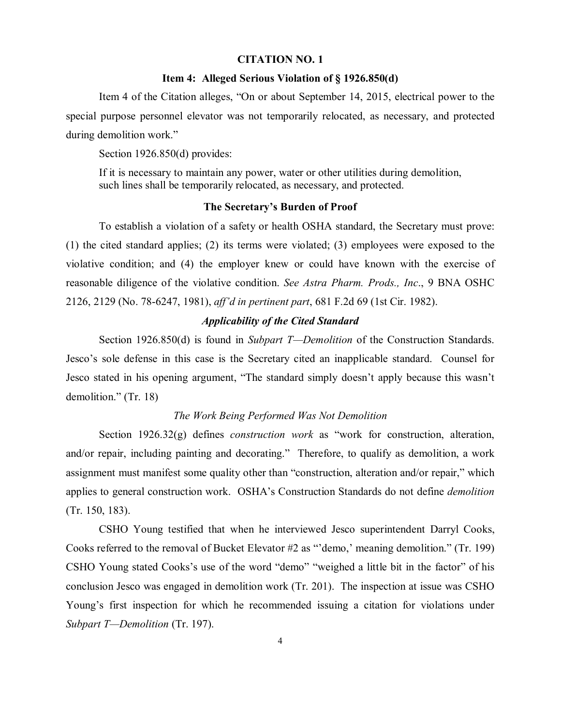#### **CITATION NO. 1**

### **Item 4: Alleged Serious Violation of § 1926.850(d)**

Item 4 of the Citation alleges, "On or about September 14, 2015, electrical power to the special purpose personnel elevator was not temporarily relocated, as necessary, and protected during demolition work."

Section 1926.850(d) provides:

If it is necessary to maintain any power, water or other utilities during demolition, such lines shall be temporarily relocated, as necessary, and protected.

## **The Secretary's Burden of Proof**

To establish a violation of a safety or health OSHA standard, the Secretary must prove: (1) the cited standard applies; (2) its terms were violated; (3) employees were exposed to the violative condition; and (4) the employer knew or could have known with the exercise of reasonable diligence of the violative condition. *See Astra Pharm. Prods., Inc*., 9 BNA OSHC 2126, 2129 (No. 78-6247, 1981), *aff'd in pertinent part*, 681 F.2d 69 (1st Cir. 1982).

## *Applicability of the Cited Standard*

Section 1926.850(d) is found in *Subpart T—Demolition* of the Construction Standards. Jesco's sole defense in this case is the Secretary cited an inapplicable standard. Counsel for Jesco stated in his opening argument, "The standard simply doesn't apply because this wasn't demolition." (Tr. 18)

#### *The Work Being Performed Was Not Demolition*

Section 1926.32(g) defines *construction work* as "work for construction, alteration, and/or repair, including painting and decorating." Therefore, to qualify as demolition, a work assignment must manifest some quality other than "construction, alteration and/or repair," which applies to general construction work. OSHA's Construction Standards do not define *demolition*  (Tr. 150, 183).

CSHO Young testified that when he interviewed Jesco superintendent Darryl Cooks, Cooks referred to the removal of Bucket Elevator #2 as "'demo,' meaning demolition." (Tr. 199) CSHO Young stated Cooks's use of the word "demo" "weighed a little bit in the factor" of his conclusion Jesco was engaged in demolition work (Tr. 201). The inspection at issue was CSHO Young's first inspection for which he recommended issuing a citation for violations under *Subpart T—Demolition* (Tr. 197).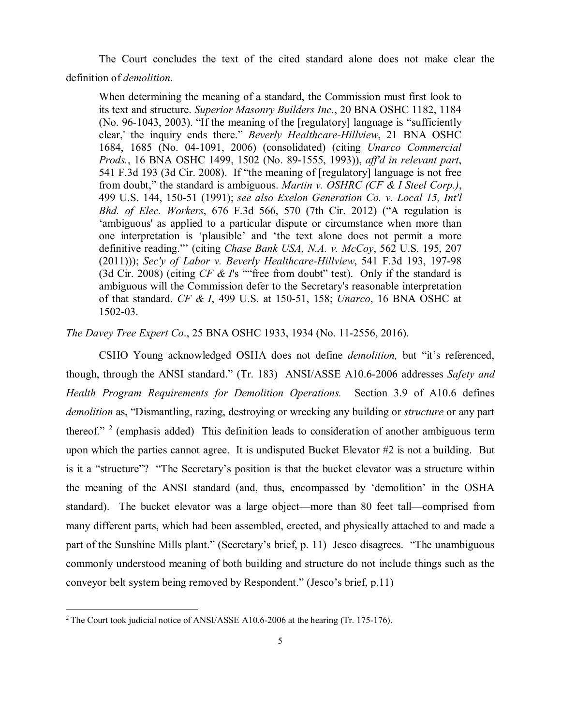The Court concludes the text of the cited standard alone does not make clear the definition of *demolition.*

When determining the meaning of a standard, the Commission must first look to its text and structure. *Superior Masonry Builders Inc.*, 20 BNA OSHC 1182, 1184 (No. 96-1043, 2003). "If the meaning of the [regulatory] language is "sufficiently clear,' the inquiry ends there." *Beverly Healthcare-Hillview*, 21 BNA OSHC 1684, 1685 (No. 04-1091, 2006) (consolidated) (citing *Unarco Commercial Prods.*, 16 BNA OSHC 1499, 1502 (No. 89-1555, 1993)), *aff'd in relevant part*, 541 F.3d 193 (3d Cir. 2008). If "the meaning of [regulatory] language is not free from doubt," the standard is ambiguous. *Martin v. OSHRC (CF & I Steel Corp.)*, 499 U.S. 144, 150-51 (1991); *see also Exelon Generation Co. v. Local 15, Int'l Bhd. of Elec. Workers*, 676 F.3d 566, 570 (7th Cir. 2012) ("A regulation is 'ambiguous' as applied to a particular dispute or circumstance when more than one interpretation is 'plausible' and 'the text alone does not permit a more definitive reading."' (citing *Chase Bank USA, N.A. v. McCoy*, 562 U.S. 195, 207 (2011))); *Sec'y of Labor v. Beverly Healthcare-Hillview*, 541 F.3d 193, 197-98 (3d Cir. 2008) (citing *CF & I*'s ""free from doubt" test). Only if the standard is ambiguous will the Commission defer to the Secretary's reasonable interpretation of that standard. *CF & I*, 499 U.S. at 150-51, 158; *Unarco*, 16 BNA OSHC at 1502-03.

*The Davey Tree Expert Co*., 25 BNA OSHC 1933, 1934 (No. 11-2556, 2016).

CSHO Young acknowledged OSHA does not define *demolition,* but "it's referenced, though, through the ANSI standard." (Tr. 183) ANSI/ASSE A10.6-2006 addresses *Safety and Health Program Requirements for Demolition Operations.* Section 3.9 of A10.6 defines *demolition* as, "Dismantling, razing, destroying or wrecking any building or *structure* or any part thereof." <sup>[2](#page-4-0)</sup> (emphasis added) This definition leads to consideration of another ambiguous term upon which the parties cannot agree. It is undisputed Bucket Elevator #2 is not a building. But is it a "structure"? "The Secretary's position is that the bucket elevator was a structure within the meaning of the ANSI standard (and, thus, encompassed by 'demolition' in the OSHA standard). The bucket elevator was a large object—more than 80 feet tall—comprised from many different parts, which had been assembled, erected, and physically attached to and made a part of the Sunshine Mills plant." (Secretary's brief, p. 11) Jesco disagrees. "The unambiguous commonly understood meaning of both building and structure do not include things such as the conveyor belt system being removed by Respondent." (Jesco's brief, p.11)

 $\overline{a}$ 

<span id="page-4-0"></span><sup>&</sup>lt;sup>2</sup> The Court took judicial notice of ANSI/ASSE A10.6-2006 at the hearing (Tr. 175-176).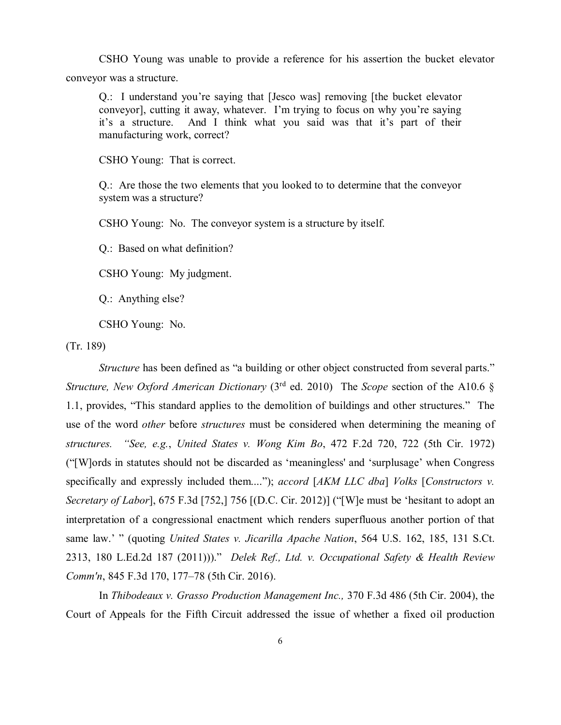CSHO Young was unable to provide a reference for his assertion the bucket elevator conveyor was a structure.

Q.: I understand you're saying that [Jesco was] removing [the bucket elevator conveyor], cutting it away, whatever. I'm trying to focus on why you're saying it's a structure. And I think what you said was that it's part of their manufacturing work, correct?

CSHO Young: That is correct.

Q.: Are those the two elements that you looked to to determine that the conveyor system was a structure?

CSHO Young: No. The conveyor system is a structure by itself.

Q.: Based on what definition?

CSHO Young: My judgment.

Q.: Anything else?

CSHO Young: No.

(Tr. 189)

*Structure* has been defined as "a building or other object constructed from several parts." *Structure, New Oxford American Dictionary* (3<sup>rd</sup> ed. 2010) The *Scope* section of the A10.6 § 1.1, provides, "This standard applies to the demolition of buildings and other structures." The use of the word *other* before *structures* must be considered when determining the meaning of *structures. "See, e.g.*, *United States v. Wong Kim Bo*, 472 F.2d 720, 722 (5th Cir. 1972) ("[W]ords in statutes should not be discarded as 'meaningless' and 'surplusage' when Congress specifically and expressly included them...."); *accord* [*AKM LLC dba*] *Volks* [*Constructors v. Secretary of Labor*], 675 F.3d [752,] 756 [(D.C. Cir. 2012)] ("[W]e must be 'hesitant to adopt an interpretation of a congressional enactment which renders superfluous another portion of that same law.' " (quoting *United States v. Jicarilla Apache Nation*, 564 U.S. 162, 185, 131 S.Ct. 2313, 180 L.Ed.2d 187 (2011)))." *Delek Ref., Ltd. v. Occupational Safety & Health Review Comm'n*, 845 F.3d 170, 177–78 (5th Cir. 2016).

In *Thibodeaux v. Grasso Production Management Inc.,* 370 F.3d 486 (5th Cir. 2004), the Court of Appeals for the Fifth Circuit addressed the issue of whether a fixed oil production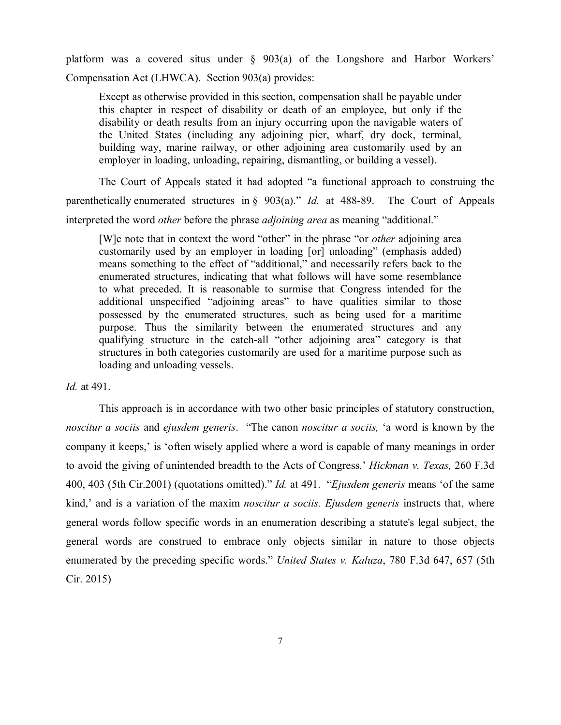platform was a covered situs under § 903(a) of the Longshore and Harbor Workers' Compensation Act (LHWCA). Section 903(a) provides:

Except as otherwise provided in this section, compensation shall be payable under this chapter in respect of disability or death of an employee, but only if the disability or death results from an injury occurring upon the navigable waters of the United States (including any adjoining pier, wharf, dry dock, terminal, building way, marine railway, or other adjoining area customarily used by an employer in loading, unloading, repairing, dismantling, or building a vessel).

The Court of Appeals stated it had adopted "a functional approach to construing the parenthetically enumerated structures in § 903(a)." *Id.* at 488-89. The Court of Appeals interpreted the word *other* before the phrase *adjoining area* as meaning "additional."

[W]e note that in context the word "other" in the phrase "or *other* adjoining area customarily used by an employer in loading [or] unloading" (emphasis added) means something to the effect of "additional," and necessarily refers back to the enumerated structures, indicating that what follows will have some resemblance to what preceded. It is reasonable to surmise that Congress intended for the additional unspecified "adjoining areas" to have qualities similar to those possessed by the enumerated structures, such as being used for a maritime purpose. Thus the similarity between the enumerated structures and any qualifying structure in the catch-all "other adjoining area" category is that structures in both categories customarily are used for a maritime purpose such as loading and unloading vessels.

#### *Id.* at 491.

This approach is in accordance with two other basic principles of statutory construction, *noscitur a sociis* and *ejusdem generis*. "The canon *noscitur a sociis,* 'a word is known by the company it keeps,' is 'often wisely applied where a word is capable of many meanings in order to avoid the giving of unintended breadth to the Acts of Congress.' *Hickman v. Texas,* 260 F.3d 400, 403 (5th Cir.2001) (quotations omitted)." *Id.* at 491. "*Ejusdem generis* means 'of the same kind,' and is a variation of the maxim *noscitur a sociis. Ejusdem generis* instructs that, where general words follow specific words in an enumeration describing a statute's legal subject, the general words are construed to embrace only objects similar in nature to those objects enumerated by the preceding specific words." *United States v. Kaluza*, 780 F.3d 647, 657 (5th Cir. 2015)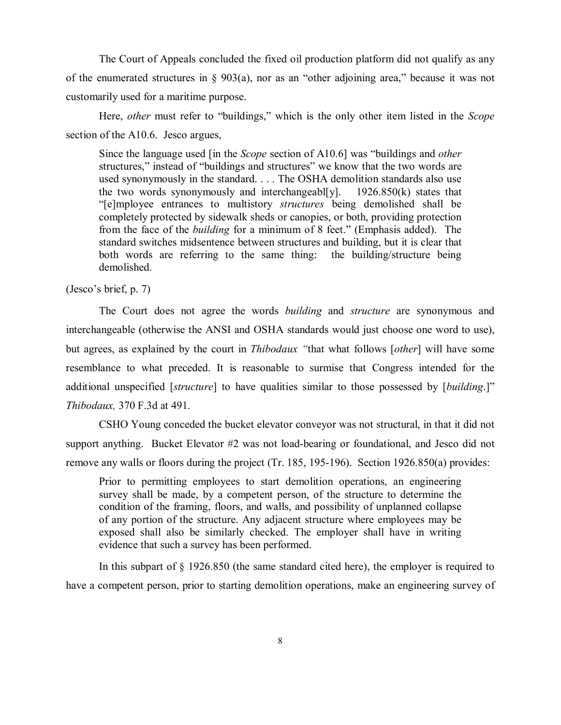The Court of Appeals concluded the fixed oil production platform did not qualify as any of the enumerated structures in § 903(a), nor as an "other adjoining area," because it was not customarily used for a maritime purpose.

Here, *other* must refer to "buildings," which is the only other item listed in the *Scope* section of the A10.6. Jesco argues,

Since the language used [in the *Scope* section of A10.6] was "buildings and *other* structures," instead of "buildings and structures" we know that the two words are used synonymously in the standard. . . . The OSHA demolition standards also use the two words synonymously and interchangeabl[y].  $1926.850(k)$  states that "[e]mployee entrances to multistory *structures* being demolished shall be completely protected by sidewalk sheds or canopies, or both, providing protection from the face of the *building* for a minimum of 8 feet." (Emphasis added). The standard switches midsentence between structures and building, but it is clear that both words are referring to the same thing: the building/structure being demolished.

(Jesco's brief, p. 7)

The Court does not agree the words *building* and *structure* are synonymous and interchangeable (otherwise the ANSI and OSHA standards would just choose one word to use), but agrees, as explained by the court in *Thibodaux "*that what follows [*other*] will have some resemblance to what preceded. It is reasonable to surmise that Congress intended for the additional unspecified [*structure*] to have qualities similar to those possessed by [*building*.]" *Thibodaux,* 370 F.3d at 491.

CSHO Young conceded the bucket elevator conveyor was not structural, in that it did not support anything. Bucket Elevator #2 was not load-bearing or foundational, and Jesco did not remove any walls or floors during the project (Tr. 185, 195-196). Section 1926.850(a) provides:

Prior to permitting employees to start demolition operations, an engineering survey shall be made, by a competent person, of the structure to determine the condition of the framing, floors, and walls, and possibility of unplanned collapse of any portion of the structure. Any adjacent structure where employees may be exposed shall also be similarly checked. The employer shall have in writing evidence that such a survey has been performed.

In this subpart of § 1926.850 (the same standard cited here), the employer is required to have a competent person, prior to starting demolition operations, make an engineering survey of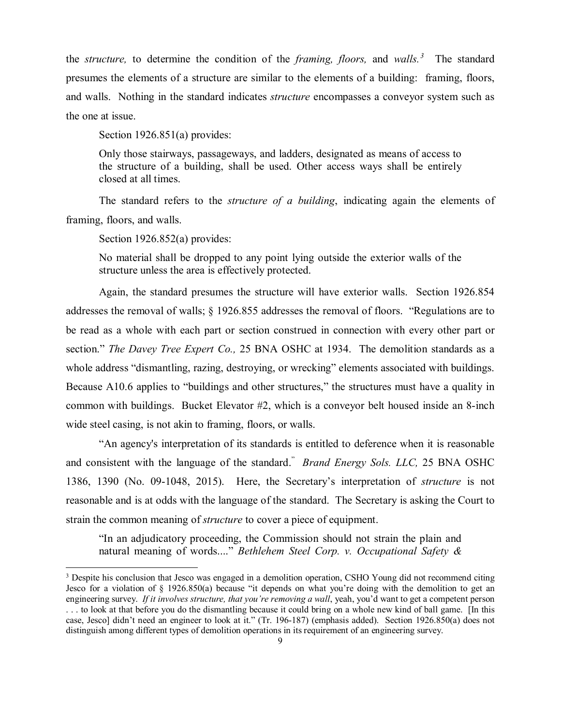the *structure,* to determine the condition of the *framing, floors,* and *walls.[3](#page-8-0)* The standard presumes the elements of a structure are similar to the elements of a building: framing, floors, and walls. Nothing in the standard indicates *structure* encompasses a conveyor system such as the one at issue.

Section 1926.851(a) provides:

Only those stairways, passageways, and ladders, designated as means of access to the structure of a building, shall be used. Other access ways shall be entirely closed at all times.

The standard refers to the *structure of a building*, indicating again the elements of framing, floors, and walls.

Section 1926.852(a) provides:

 $\overline{a}$ 

No material shall be dropped to any point lying outside the exterior walls of the structure unless the area is effectively protected.

Again, the standard presumes the structure will have exterior walls. Section 1926.854 addresses the removal of walls; § 1926.855 addresses the removal of floors. "Regulations are to be read as a whole with each part or section construed in connection with every other part or section." *The Davey Tree Expert Co.,* 25 BNA OSHC at 1934. The demolition standards as a whole address "dismantling, razing, destroying, or wrecking" elements associated with buildings. Because A10.6 applies to "buildings and other structures," the structures must have a quality in common with buildings. Bucket Elevator #2, which is a conveyor belt housed inside an 8-inch wide steel casing, is not akin to framing, floors, or walls.

"An agency's interpretation of its standards is entitled to deference when it is reasonable and consistent with the language of the standard." *Brand Energy Sols. LLC,* 25 BNA OSHC 1386, 1390 (No. 09-1048, 2015). Here, the Secretary's interpretation of *structure* is not reasonable and is at odds with the language of the standard. The Secretary is asking the Court to strain the common meaning of *structure* to cover a piece of equipment.

"In an adjudicatory proceeding, the Commission should not strain the plain and natural meaning of words...." *Bethlehem Steel Corp. v. Occupational Safety &* 

<span id="page-8-0"></span><sup>&</sup>lt;sup>3</sup> Despite his conclusion that Jesco was engaged in a demolition operation, CSHO Young did not recommend citing Jesco for a violation of § 1926.850(a) because "it depends on what you're doing with the demolition to get an engineering survey. *If it involves structure, that you're removing a wall*, yeah, you'd want to get a competent person ... to look at that before you do the dismantling because it could bring on a whole new kind of ball game. [In this case, Jesco] didn't need an engineer to look at it." (Tr. 196-187) (emphasis added). Section 1926.850(a) does not distinguish among different types of demolition operations in its requirement of an engineering survey.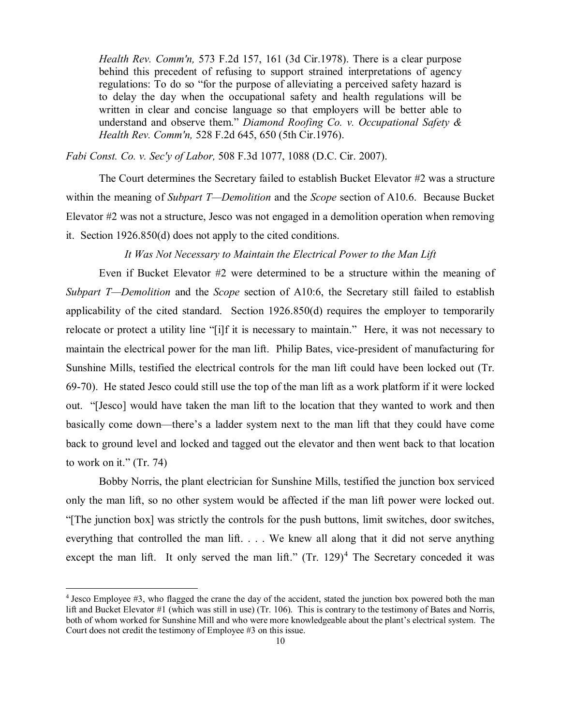*Health Rev. Comm'n,* 573 F.2d 157, 161 (3d Cir.1978). There is a clear purpose behind this precedent of refusing to support strained interpretations of agency regulations: To do so "for the purpose of alleviating a perceived safety hazard is to delay the day when the occupational safety and health regulations will be written in clear and concise language so that employers will be better able to understand and observe them." *Diamond Roofing Co. v. Occupational Safety & Health Rev. Comm'n,* 528 F.2d 645, 650 (5th Cir.1976).

*Fabi Const. Co. v. Sec'y of Labor,* 508 F.3d 1077, 1088 (D.C. Cir. 2007).

The Court determines the Secretary failed to establish Bucket Elevator #2 was a structure within the meaning of *Subpart T—Demolition* and the *Scope* section of A10.6. Because Bucket Elevator #2 was not a structure, Jesco was not engaged in a demolition operation when removing it. Section 1926.850(d) does not apply to the cited conditions.

## *It Was Not Necessary to Maintain the Electrical Power to the Man Lift*

Even if Bucket Elevator #2 were determined to be a structure within the meaning of *Subpart T—Demolition* and the *Scope* section of A10:6, the Secretary still failed to establish applicability of the cited standard. Section 1926.850(d) requires the employer to temporarily relocate or protect a utility line "[i]f it is necessary to maintain." Here, it was not necessary to maintain the electrical power for the man lift. Philip Bates, vice-president of manufacturing for Sunshine Mills, testified the electrical controls for the man lift could have been locked out (Tr. 69-70). He stated Jesco could still use the top of the man lift as a work platform if it were locked out. "[Jesco] would have taken the man lift to the location that they wanted to work and then basically come down—there's a ladder system next to the man lift that they could have come back to ground level and locked and tagged out the elevator and then went back to that location to work on it." (Tr. 74)

Bobby Norris, the plant electrician for Sunshine Mills, testified the junction box serviced only the man lift, so no other system would be affected if the man lift power were locked out. "[The junction box] was strictly the controls for the push buttons, limit switches, door switches, everything that controlled the man lift. . . . We knew all along that it did not serve anything except the man lift. It only served the man lift."  $(Tr. 129)^4$  $(Tr. 129)^4$  The Secretary conceded it was

 $\overline{a}$ 

<span id="page-9-0"></span><sup>4</sup> Jesco Employee #3, who flagged the crane the day of the accident, stated the junction box powered both the man lift and Bucket Elevator #1 (which was still in use) (Tr. 106). This is contrary to the testimony of Bates and Norris, both of whom worked for Sunshine Mill and who were more knowledgeable about the plant's electrical system. The Court does not credit the testimony of Employee #3 on this issue.